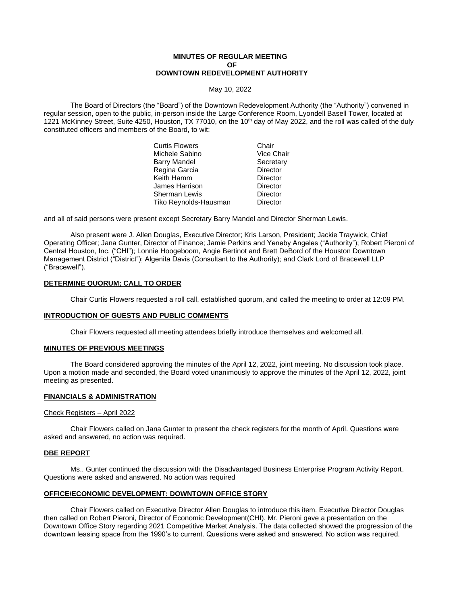## **MINUTES OF REGULAR MEETING OF DOWNTOWN REDEVELOPMENT AUTHORITY**

May 10, 2022

The Board of Directors (the "Board") of the Downtown Redevelopment Authority (the "Authority") convened in regular session, open to the public, in-person inside the Large Conference Room, Lyondell Basell Tower, located at 1221 McKinney Street, Suite 4250, Houston, TX 77010, on the 10<sup>th</sup> day of May 2022, and the roll was called of the duly constituted officers and members of the Board, to wit:

| Chair           |
|-----------------|
| Vice Chair      |
| Secretary       |
| <b>Director</b> |
| <b>Director</b> |
| Director        |
| Director        |
| Director        |
|                 |

and all of said persons were present except Secretary Barry Mandel and Director Sherman Lewis.

Also present were J. Allen Douglas, Executive Director; Kris Larson, President; Jackie Traywick, Chief Operating Officer; Jana Gunter, Director of Finance; Jamie Perkins and Yeneby Angeles ("Authority"); Robert Pieroni of Central Houston, Inc. ("CHI"); Lonnie Hoogeboom, Angie Bertinot and Brett DeBord of the Houston Downtown Management District ("District"); Algenita Davis (Consultant to the Authority); and Clark Lord of Bracewell LLP ("Bracewell").

# **DETERMINE QUORUM; CALL TO ORDER**

Chair Curtis Flowers requested a roll call, established quorum, and called the meeting to order at 12:09 PM.

### **INTRODUCTION OF GUESTS AND PUBLIC COMMENTS**

Chair Flowers requested all meeting attendees briefly introduce themselves and welcomed all.

#### **MINUTES OF PREVIOUS MEETINGS**

The Board considered approving the minutes of the April 12, 2022, joint meeting. No discussion took place. Upon a motion made and seconded, the Board voted unanimously to approve the minutes of the April 12, 2022, joint meeting as presented.

## **FINANCIALS & ADMINISTRATION**

### Check Registers – April 2022

Chair Flowers called on Jana Gunter to present the check registers for the month of April. Questions were asked and answered, no action was required.

#### **DBE REPORT**

Ms.. Gunter continued the discussion with the Disadvantaged Business Enterprise Program Activity Report. Questions were asked and answered. No action was required

### **OFFICE/ECONOMIC DEVELOPMENT: DOWNTOWN OFFICE STORY**

Chair Flowers called on Executive Director Allen Douglas to introduce this item. Executive Director Douglas then called on Robert Pieroni, Director of Economic Development(CHI). Mr. Pieroni gave a presentation on the Downtown Office Story regarding 2021 Competitive Market Analysis. The data collected showed the progression of the downtown leasing space from the 1990's to current. Questions were asked and answered. No action was required.